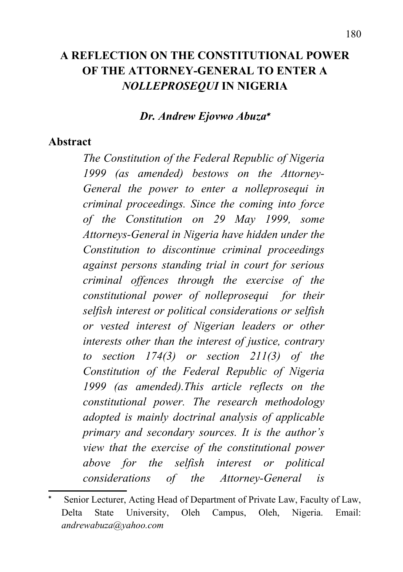### **A REFLECTION ON THE CONSTITUTIONAL POWER OF THE ATTORNEY-GENERAL TO ENTER A** *NOLLEPROSEQUI* **IN NIGERIA**

#### *Dr. Andrew Ejovwo Abuza*

#### **Abstract**

*The Constitution of the Federal Republic of Nigeria 1999 (as amended) bestows on the Attorney-General the power to enter a nolleprosequi in criminal proceedings. Since the coming into force of the Constitution on 29 May 1999, some Attorneys-General in Nigeria have hidden under the Constitution to discontinue criminal proceedings against persons standing trial in court for serious criminal offences through the exercise of the constitutional power of nolleprosequi for their selfish interest or political considerations or selfish or vested interest of Nigerian leaders or other interests other than the interest of justice, contrary to section 174(3) or section 211(3) of the Constitution of the Federal Republic of Nigeria 1999 (as amended).This article reflects on the constitutional power. The research methodology adopted is mainly doctrinal analysis of applicable primary and secondary sources. It is the author's view that the exercise of the constitutional power above for the selfish interest or political considerations of the Attorney-General is*

<span id="page-0-0"></span> $\ast$  Senior Lecturer, Acting Head of Department of Private Law, Faculty of Law, Delta State University, Oleh Campus, Oleh, Nigeria. Email: *andrewabuza@yahoo.com*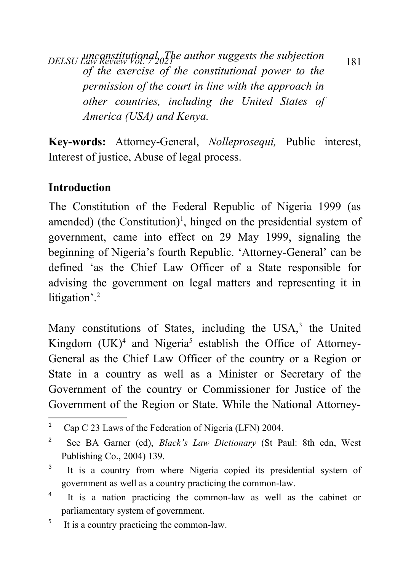*DELSU Law Review Vol. 7* 2021 *unconstitutional. The author suggests the subjection of the exercise of the constitutional power to the permission of the court in line with the approach in other countries, including the United States of America (USA) and Kenya.*

**Key-words:** Attorney-General, *Nolleprosequi,* Public interest, Interest of justice, Abuse of legal process.

## **Introduction**

The Constitution of the Federal Republic of Nigeria 1999 (as amended) (the Constitution)<sup>[1](#page-1-0)</sup>, hinged on the presidential system of government, came into effect on 29 May 1999, signaling the beginning of Nigeria's fourth Republic. 'Attorney-General' can be defined 'as the Chief Law Officer of a State responsible for advising the government on legal matters and representing it in litigation'.<sup>[2](#page-1-1)</sup>

Many constitutions of States, including the USA,<sup>[3](#page-1-2)</sup> the United Kingdom  $(UK)^4$  $(UK)^4$  and Nigeria<sup>[5](#page-1-4)</sup> establish the Office of Attorney-General as the Chief Law Officer of the country or a Region or State in a country as well as a Minister or Secretary of the Government of the country or Commissioner for Justice of the Government of the Region or State. While the National Attorney-

<span id="page-1-0"></span><sup>1</sup> Cap C 23 Laws of the Federation of Nigeria (LFN) 2004.

<span id="page-1-1"></span><sup>2</sup> See BA Garner (ed), *Black's Law Dictionary* (St Paul: 8th edn, West Publishing Co., 2004) 139.

<span id="page-1-2"></span><sup>3</sup> It is a country from where Nigeria copied its presidential system of government as well as a country practicing the common-law.

<span id="page-1-3"></span><sup>4</sup> It is a nation practicing the common-law as well as the cabinet or parliamentary system of government.

<span id="page-1-4"></span><sup>5</sup> It is a country practicing the common-law.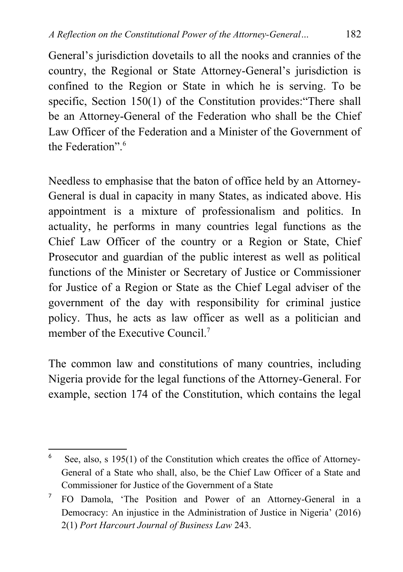General's jurisdiction dovetails to all the nooks and crannies of the country, the Regional or State Attorney-General's jurisdiction is confined to the Region or State in which he is serving. To be specific, Section 150(1) of the Constitution provides: "There shall be an Attorney-General of the Federation who shall be the Chief Law Officer of the Federation and a Minister of the Government of the Federation"<sup>[6](#page-2-0)</sup>

Needless to emphasise that the baton of office held by an Attorney-General is dual in capacity in many States, as indicated above. His appointment is a mixture of professionalism and politics. In actuality, he performs in many countries legal functions as the Chief Law Officer of the country or a Region or State, Chief Prosecutor and guardian of the public interest as well as political functions of the Minister or Secretary of Justice or Commissioner for Justice of a Region or State as the Chief Legal adviser of the government of the day with responsibility for criminal justice policy. Thus, he acts as law officer as well as a politician and member of the Executive Council<sup>[7](#page-2-1)</sup>

The common law and constitutions of many countries, including Nigeria provide for the legal functions of the Attorney-General. For example, section 174 of the Constitution, which contains the legal

<span id="page-2-0"></span><sup>6</sup> See, also, s 195(1) of the Constitution which creates the office of Attorney-General of a State who shall, also, be the Chief Law Officer of a State and Commissioner for Justice of the Government of a State

<span id="page-2-1"></span><sup>7</sup> FO Damola, 'The Position and Power of an Attorney-General in a Democracy: An injustice in the Administration of Justice in Nigeria' (2016) 2(1) *Port Harcourt Journal of Business Law* 243.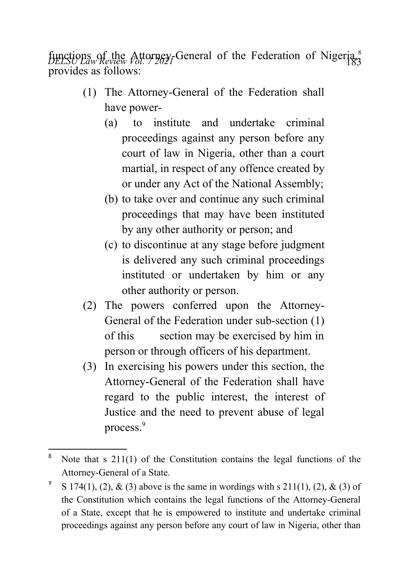functions of the Attorney-General of the Federation of Nigeria,<sup>[8](#page-3-0)</sup> provides as follows:

- (1) The Attorney-General of the Federation shall have power-
	- (a) to institute and undertake criminal proceedings against any person before any court of law in Nigeria, other than a court martial, in respect of any offence created by or under any Act of the National Assembly;
	- (b) to take over and continue any such criminal proceedings that may have been instituted by any other authority or person; and
	- (c) to discontinue at any stage before judgment is delivered any such criminal proceedings instituted or undertaken by him or any other authority or person.
- (2) The powers conferred upon the Attorney-General of the Federation under sub-section (1) of this section may be exercised by him in person or through officers of his department.
- (3) In exercising his powers under this section, the Attorney-General of the Federation shall have regard to the public interest, the interest of Justice and the need to prevent abuse of legal process.[9](#page-3-1)

<span id="page-3-0"></span><sup>&</sup>lt;sup>8</sup> Note that s 211(1) of the Constitution contains the legal functions of the Attorney-General of a State.

<span id="page-3-1"></span><sup>9</sup> S 174(1), (2), & (3) above is the same in wordings with s  $211(1)$ , (2), & (3) of the Constitution which contains the legal functions of the Attorney-General of a State, except that he is empowered to institute and undertake criminal proceedings against any person before any court of law in Nigeria, other than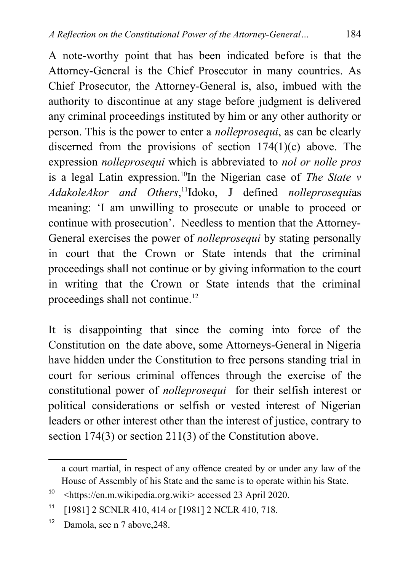A note-worthy point that has been indicated before is that the Attorney-General is the Chief Prosecutor in many countries. As Chief Prosecutor, the Attorney-General is, also, imbued with the authority to discontinue at any stage before judgment is delivered any criminal proceedings instituted by him or any other authority or person. This is the power to enter a *nolleprosequi*, as can be clearly discerned from the provisions of section 174(1)(c) above. The expression *nolleprosequi* which is abbreviated to *nol or nolle pros* is a legal Latin expression.[10](#page-4-0)In the Nigerian case of *The State v AdakoleAkor and Others*, [11](#page-4-1)Idoko, J defined *nolleprosequi*as meaning: 'I am unwilling to prosecute or unable to proceed or continue with prosecution'. Needless to mention that the Attorney-General exercises the power of *nolleprosequi* by stating personally in court that the Crown or State intends that the criminal proceedings shall not continue or by giving information to the court in writing that the Crown or State intends that the criminal proceedings shall not continue.<sup>[12](#page-4-2)</sup>

It is disappointing that since the coming into force of the Constitution on the date above, some Attorneys-General in Nigeria have hidden under the Constitution to free persons standing trial in court for serious criminal offences through the exercise of the constitutional power of *nolleprosequi* for their selfish interest or political considerations or selfish or vested interest of Nigerian leaders or other interest other than the interest of justice, contrary to section 174(3) or section 211(3) of the Constitution above.

a court martial, in respect of any offence created by or under any law of the House of Assembly of his State and the same is to operate within his State.

<span id="page-4-0"></span><sup>10</sup> <https://en.m.wikipedia.org.wiki> accessed 23 April 2020.

<span id="page-4-1"></span><sup>11</sup> [1981] 2 SCNLR 410, 414 or [1981] 2 NCLR 410, 718.

<span id="page-4-2"></span><sup>12</sup> Damola, see n 7 above,248.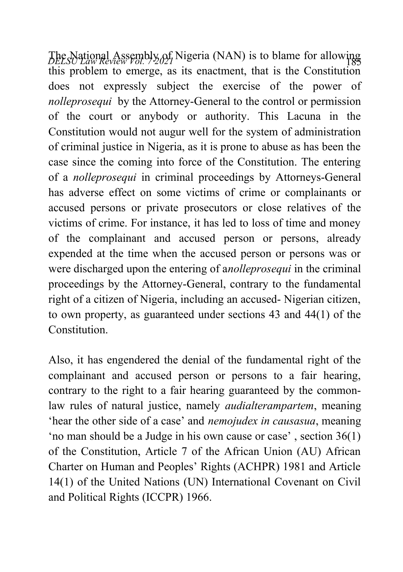*DELSU Law Review Vol. 79.05* Nigeria (NAN) is to blame for allowing this problem to emerge, as its enactment, that is the Constitution does not expressly subject the exercise of the power of *nolleprosequi* by the Attorney-General to the control or permission of the court or anybody or authority. This Lacuna in the Constitution would not augur well for the system of administration of criminal justice in Nigeria, as it is prone to abuse as has been the case since the coming into force of the Constitution. The entering of a *nolleprosequi* in criminal proceedings by Attorneys-General has adverse effect on some victims of crime or complainants or accused persons or private prosecutors or close relatives of the victims of crime. For instance, it has led to loss of time and money of the complainant and accused person or persons, already expended at the time when the accused person or persons was or were discharged upon the entering of a*nolleprosequi* in the criminal proceedings by the Attorney-General, contrary to the fundamental right of a citizen of Nigeria, including an accused- Nigerian citizen, to own property, as guaranteed under sections 43 and 44(1) of the **Constitution** 

Also, it has engendered the denial of the fundamental right of the complainant and accused person or persons to a fair hearing, contrary to the right to a fair hearing guaranteed by the commonlaw rules of natural justice, namely *audialterampartem*, meaning 'hear the other side of a case' and *nemojudex in causasua*, meaning 'no man should be a Judge in his own cause or case' , section 36(1) of the Constitution, Article 7 of the African Union (AU) African Charter on Human and Peoples' Rights (ACHPR) 1981 and Article 14(1) of the United Nations (UN) International Covenant on Civil and Political Rights (ICCPR) 1966.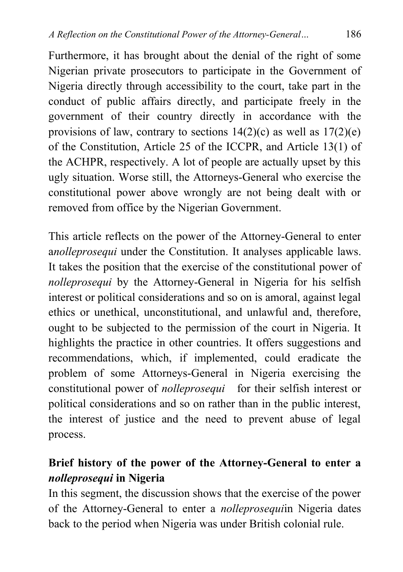Furthermore, it has brought about the denial of the right of some Nigerian private prosecutors to participate in the Government of Nigeria directly through accessibility to the court, take part in the conduct of public affairs directly, and participate freely in the government of their country directly in accordance with the provisions of law, contrary to sections  $14(2)(c)$  as well as  $17(2)(e)$ of the Constitution, Article 25 of the ICCPR, and Article 13(1) of the ACHPR, respectively. A lot of people are actually upset by this ugly situation. Worse still, the Attorneys-General who exercise the constitutional power above wrongly are not being dealt with or removed from office by the Nigerian Government.

This article reflects on the power of the Attorney-General to enter a*nolleprosequi* under the Constitution. It analyses applicable laws. It takes the position that the exercise of the constitutional power of *nolleprosequi* by the Attorney-General in Nigeria for his selfish interest or political considerations and so on is amoral, against legal ethics or unethical, unconstitutional, and unlawful and, therefore, ought to be subjected to the permission of the court in Nigeria. It highlights the practice in other countries. It offers suggestions and recommendations, which, if implemented, could eradicate the problem of some Attorneys-General in Nigeria exercising the constitutional power of *nolleprosequi* for their selfish interest or political considerations and so on rather than in the public interest, the interest of justice and the need to prevent abuse of legal process.

### **Brief history of the power of the Attorney-General to enter a** *nolleprosequi* **in Nigeria**

In this segment, the discussion shows that the exercise of the power of the Attorney-General to enter a *nolleprosequi*in Nigeria dates back to the period when Nigeria was under British colonial rule.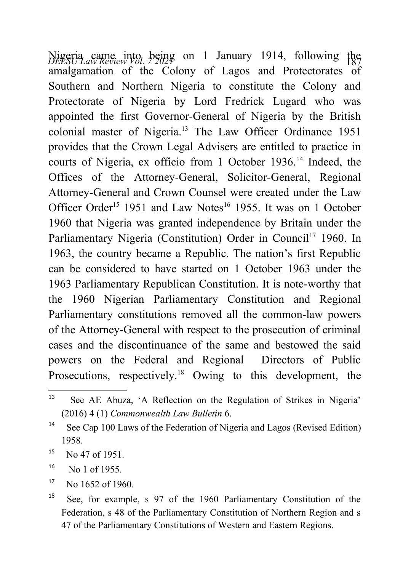*DELSU Law Review Vol. 7 2021* <sup>187</sup> Nigeria came into being on 1 January 1914, following the amalgamation of the Colony of Lagos and Protectorates of Southern and Northern Nigeria to constitute the Colony and Protectorate of Nigeria by Lord Fredrick Lugard who was appointed the first Governor-General of Nigeria by the British colonial master of Nigeria.[13](#page-7-0) The Law Officer Ordinance 1951 provides that the Crown Legal Advisers are entitled to practice in courts of Nigeria, ex officio from 1 October 1936.<sup>[14](#page-7-1)</sup> Indeed, the Offices of the Attorney-General, Solicitor-General, Regional Attorney-General and Crown Counsel were created under the Law Officer Order<sup>[15](#page-7-2)</sup> 1951 and Law Notes<sup>[16](#page-7-3)</sup> 1955. It was on 1 October 1960 that Nigeria was granted independence by Britain under the Parliamentary Nigeria (Constitution) Order in Council<sup>[17](#page-7-4)</sup> 1960. In 1963, the country became a Republic. The nation's first Republic can be considered to have started on 1 October 1963 under the 1963 Parliamentary Republican Constitution. It is note-worthy that the 1960 Nigerian Parliamentary Constitution and Regional Parliamentary constitutions removed all the common-law powers of the Attorney-General with respect to the prosecution of criminal cases and the discontinuance of the same and bestowed the said powers on the Federal and Regional Directors of Public Prosecutions, respectively.<sup>[18](#page-7-5)</sup> Owing to this development, the

<span id="page-7-0"></span><sup>13</sup> See AE Abuza, 'A Reflection on the Regulation of Strikes in Nigeria' (2016) 4 (1) *Commonwealth Law Bulletin* 6.

<span id="page-7-1"></span><sup>&</sup>lt;sup>14</sup> See Cap 100 Laws of the Federation of Nigeria and Lagos (Revised Edition) 1958.

<span id="page-7-2"></span> $^{15}$  No 47 of 1951.

<span id="page-7-3"></span> $^{16}$  No 1 of 1955.

<span id="page-7-4"></span> $17$  No 1652 of 1960.

<span id="page-7-5"></span><sup>&</sup>lt;sup>18</sup> See, for example, s 97 of the 1960 Parliamentary Constitution of the Federation, s 48 of the Parliamentary Constitution of Northern Region and s 47 of the Parliamentary Constitutions of Western and Eastern Regions.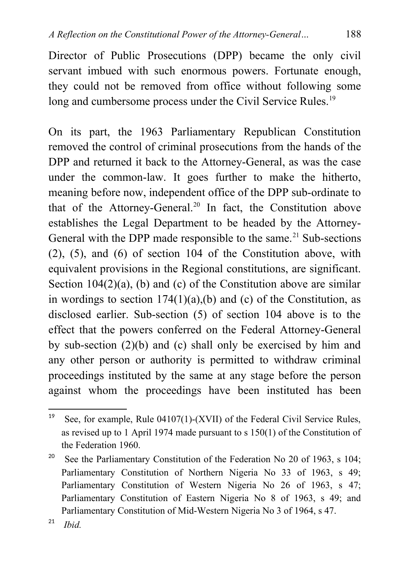Director of Public Prosecutions (DPP) became the only civil servant imbued with such enormous powers. Fortunate enough, they could not be removed from office without following some long and cumbersome process under the Civil Service Rules.<sup>[19](#page-8-0)</sup>

On its part, the 1963 Parliamentary Republican Constitution removed the control of criminal prosecutions from the hands of the DPP and returned it back to the Attorney-General, as was the case under the common-law. It goes further to make the hitherto, meaning before now, independent office of the DPP sub-ordinate to that of the Attorney-General.[20](#page-8-1) In fact, the Constitution above establishes the Legal Department to be headed by the Attorney-General with the DPP made responsible to the same.<sup>[21](#page-8-2)</sup> Sub-sections (2), (5), and (6) of section 104 of the Constitution above, with equivalent provisions in the Regional constitutions, are significant. Section  $104(2)(a)$ , (b) and (c) of the Constitution above are similar in wordings to section  $174(1)(a)$ , (b) and (c) of the Constitution, as disclosed earlier. Sub-section (5) of section 104 above is to the effect that the powers conferred on the Federal Attorney-General by sub-section (2)(b) and (c) shall only be exercised by him and any other person or authority is permitted to withdraw criminal proceedings instituted by the same at any stage before the person against whom the proceedings have been instituted has been

<span id="page-8-0"></span><sup>&</sup>lt;sup>19</sup> See, for example, Rule 04107(1)-(XVII) of the Federal Civil Service Rules, as revised up to 1 April 1974 made pursuant to s 150(1) of the Constitution of the Federation 1960.

<span id="page-8-1"></span><sup>&</sup>lt;sup>20</sup> See the Parliamentary Constitution of the Federation No 20 of 1963, s 104; Parliamentary Constitution of Northern Nigeria No 33 of 1963, s 49; Parliamentary Constitution of Western Nigeria No 26 of 1963, s 47; Parliamentary Constitution of Eastern Nigeria No 8 of 1963, s 49; and Parliamentary Constitution of Mid-Western Nigeria No 3 of 1964, s 47.

<span id="page-8-2"></span><sup>21</sup> *Ibid.*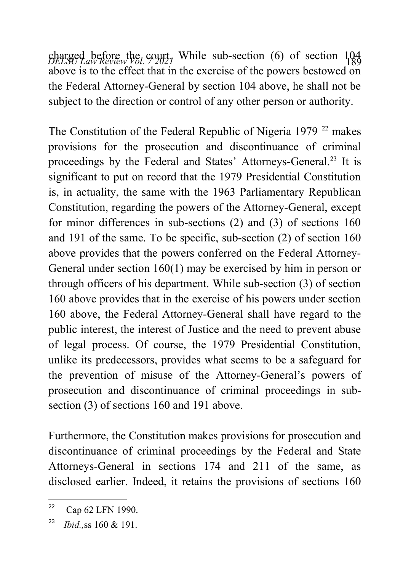charged before the court, While sub-section (6) of section 104 above is to the effect that in the exercise of the powers bestowed on the Federal Attorney-General by section 104 above, he shall not be subject to the direction or control of any other person or authority.

The Constitution of the Federal Republic of Nigeria 1979  $22$  makes provisions for the prosecution and discontinuance of criminal proceedings by the Federal and States' Attorneys-General.<sup>[23](#page-9-1)</sup> It is significant to put on record that the 1979 Presidential Constitution is, in actuality, the same with the 1963 Parliamentary Republican Constitution, regarding the powers of the Attorney-General, except for minor differences in sub-sections (2) and (3) of sections 160 and 191 of the same. To be specific, sub-section (2) of section 160 above provides that the powers conferred on the Federal Attorney-General under section 160(1) may be exercised by him in person or through officers of his department. While sub-section (3) of section 160 above provides that in the exercise of his powers under section 160 above, the Federal Attorney-General shall have regard to the public interest, the interest of Justice and the need to prevent abuse of legal process. Of course, the 1979 Presidential Constitution, unlike its predecessors, provides what seems to be a safeguard for the prevention of misuse of the Attorney-General's powers of prosecution and discontinuance of criminal proceedings in subsection (3) of sections 160 and 191 above.

Furthermore, the Constitution makes provisions for prosecution and discontinuance of criminal proceedings by the Federal and State Attorneys-General in sections 174 and 211 of the same, as disclosed earlier. Indeed, it retains the provisions of sections 160

<span id="page-9-0"></span> $22$  Cap 62 LFN 1990.

<span id="page-9-1"></span><sup>23</sup> *Ibid.,*ss 160 & 191.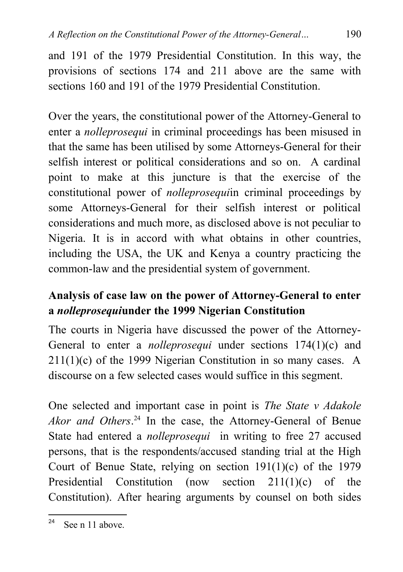and 191 of the 1979 Presidential Constitution. In this way, the provisions of sections 174 and 211 above are the same with sections 160 and 191 of the 1979 Presidential Constitution.

Over the years, the constitutional power of the Attorney-General to enter a *nolleprosequi* in criminal proceedings has been misused in that the same has been utilised by some Attorneys-General for their selfish interest or political considerations and so on. A cardinal point to make at this juncture is that the exercise of the constitutional power of *nolleprosequi*in criminal proceedings by some Attorneys-General for their selfish interest or political considerations and much more, as disclosed above is not peculiar to Nigeria. It is in accord with what obtains in other countries, including the USA, the UK and Kenya a country practicing the common-law and the presidential system of government.

# **Analysis of case law on the power of Attorney-General to enter a** *nolleprosequi***under the 1999 Nigerian Constitution**

The courts in Nigeria have discussed the power of the Attorney-General to enter a *nolleprosequi* under sections 174(1)(c) and  $211(1)(c)$  of the 1999 Nigerian Constitution in so many cases. A discourse on a few selected cases would suffice in this segment.

One selected and important case in point is *The State v Adakole Akor and Others*. [24](#page-10-0) In the case, the Attorney-General of Benue State had entered a *nolleprosequi* in writing to free 27 accused persons, that is the respondents/accused standing trial at the High Court of Benue State, relying on section 191(1)(c) of the 1979 Presidential Constitution (now section 211(1)(c) of the Constitution). After hearing arguments by counsel on both sides

<span id="page-10-0"></span> $24$  See n 11 above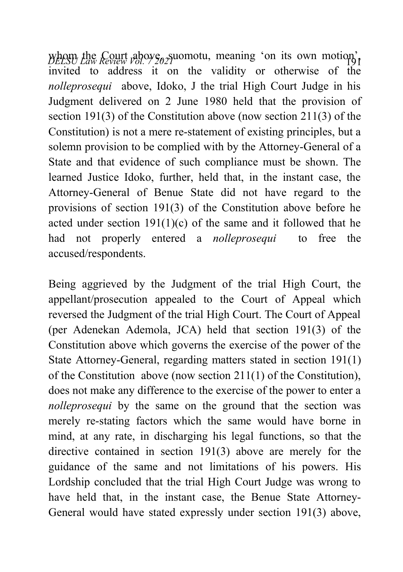*DELSU Law Review Vol. 7 202*<sup>2</sup> 1920 whom the Court above, submitted by the Court above, such as  $\frac{1}{2}$ invited to address it on the validity or otherwise of the *nolleprosequi* above, Idoko, J the trial High Court Judge in his Judgment delivered on 2 June 1980 held that the provision of section 191(3) of the Constitution above (now section 211(3) of the Constitution) is not a mere re-statement of existing principles, but a solemn provision to be complied with by the Attorney-General of a State and that evidence of such compliance must be shown. The learned Justice Idoko, further, held that, in the instant case, the Attorney-General of Benue State did not have regard to the provisions of section 191(3) of the Constitution above before he acted under section  $191(1)(c)$  of the same and it followed that he had not properly entered a *nolleprosequi* to free the accused/respondents.

Being aggrieved by the Judgment of the trial High Court, the appellant/prosecution appealed to the Court of Appeal which reversed the Judgment of the trial High Court. The Court of Appeal (per Adenekan Ademola, JCA) held that section 191(3) of the Constitution above which governs the exercise of the power of the State Attorney-General, regarding matters stated in section 191(1) of the Constitution above (now section 211(1) of the Constitution), does not make any difference to the exercise of the power to enter a *nolleprosequi* by the same on the ground that the section was merely re-stating factors which the same would have borne in mind, at any rate, in discharging his legal functions, so that the directive contained in section 191(3) above are merely for the guidance of the same and not limitations of his powers. His Lordship concluded that the trial High Court Judge was wrong to have held that, in the instant case, the Benue State Attorney-General would have stated expressly under section 191(3) above,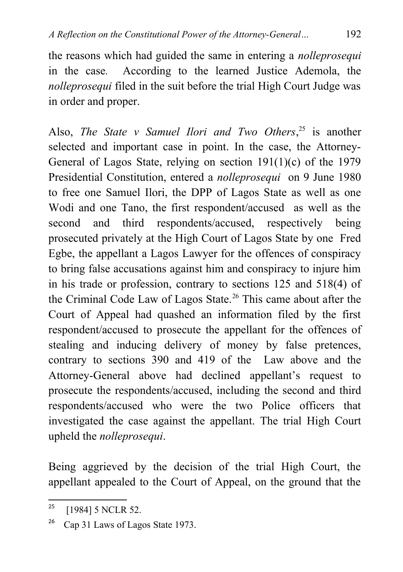the reasons which had guided the same in entering a *nolleprosequi* in the case*.* According to the learned Justice Ademola, the *nolleprosequi* filed in the suit before the trial High Court Judge was in order and proper.

Also, *The State v Samuel Ilori and Two Others*, [25](#page-12-0) is another selected and important case in point. In the case, the Attorney-General of Lagos State, relying on section 191(1)(c) of the 1979 Presidential Constitution, entered a *nolleprosequi* on 9 June 1980 to free one Samuel Ilori, the DPP of Lagos State as well as one Wodi and one Tano, the first respondent/accused as well as the second and third respondents/accused, respectively being prosecuted privately at the High Court of Lagos State by one Fred Egbe, the appellant a Lagos Lawyer for the offences of conspiracy to bring false accusations against him and conspiracy to injure him in his trade or profession, contrary to sections 125 and 518(4) of the Criminal Code Law of Lagos State.<sup>[26](#page-12-1)</sup> This came about after the Court of Appeal had quashed an information filed by the first respondent/accused to prosecute the appellant for the offences of stealing and inducing delivery of money by false pretences, contrary to sections 390 and 419 of the Law above and the Attorney-General above had declined appellant's request to prosecute the respondents/accused, including the second and third respondents/accused who were the two Police officers that investigated the case against the appellant. The trial High Court upheld the *nolleprosequi*.

Being aggrieved by the decision of the trial High Court, the appellant appealed to the Court of Appeal, on the ground that the

<span id="page-12-0"></span><sup>&</sup>lt;sup>25</sup> [1984] 5 NCLR 52.

<span id="page-12-1"></span><sup>&</sup>lt;sup>26</sup> Cap 31 Laws of Lagos State 1973.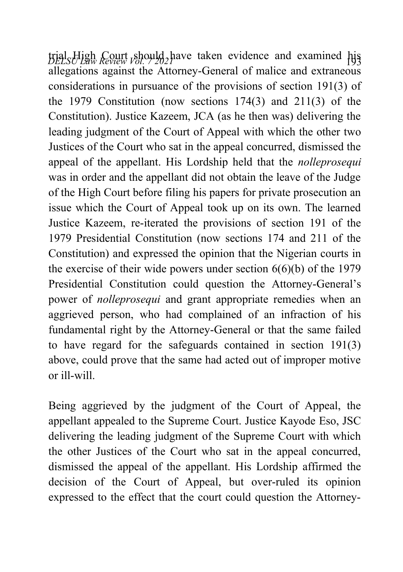*DELSU Law Review Vol. 7 2021* <sup>193</sup> trial High Court should have taken evidence and examined his allegations against the Attorney-General of malice and extraneous considerations in pursuance of the provisions of section 191(3) of the 1979 Constitution (now sections 174(3) and 211(3) of the Constitution). Justice Kazeem, JCA (as he then was) delivering the leading judgment of the Court of Appeal with which the other two Justices of the Court who sat in the appeal concurred, dismissed the appeal of the appellant. His Lordship held that the *nolleprosequi* was in order and the appellant did not obtain the leave of the Judge of the High Court before filing his papers for private prosecution an issue which the Court of Appeal took up on its own. The learned Justice Kazeem, re-iterated the provisions of section 191 of the 1979 Presidential Constitution (now sections 174 and 211 of the Constitution) and expressed the opinion that the Nigerian courts in the exercise of their wide powers under section 6(6)(b) of the 1979 Presidential Constitution could question the Attorney-General's power of *nolleprosequi* and grant appropriate remedies when an aggrieved person, who had complained of an infraction of his fundamental right by the Attorney-General or that the same failed to have regard for the safeguards contained in section 191(3) above, could prove that the same had acted out of improper motive or ill-will.

Being aggrieved by the judgment of the Court of Appeal, the appellant appealed to the Supreme Court. Justice Kayode Eso, JSC delivering the leading judgment of the Supreme Court with which the other Justices of the Court who sat in the appeal concurred, dismissed the appeal of the appellant. His Lordship affirmed the decision of the Court of Appeal, but over-ruled its opinion expressed to the effect that the court could question the Attorney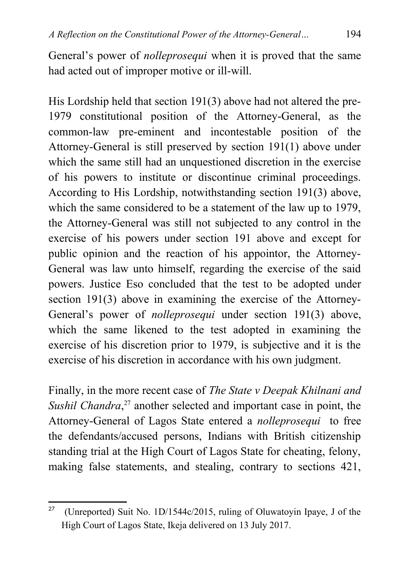General's power of *nolleprosequi* when it is proved that the same had acted out of improper motive or ill-will.

His Lordship held that section 191(3) above had not altered the pre-1979 constitutional position of the Attorney-General, as the common-law pre-eminent and incontestable position of the Attorney-General is still preserved by section 191(1) above under which the same still had an unquestioned discretion in the exercise of his powers to institute or discontinue criminal proceedings. According to His Lordship, notwithstanding section 191(3) above, which the same considered to be a statement of the law up to 1979, the Attorney-General was still not subjected to any control in the exercise of his powers under section 191 above and except for public opinion and the reaction of his appointor, the Attorney-General was law unto himself, regarding the exercise of the said powers. Justice Eso concluded that the test to be adopted under section 191(3) above in examining the exercise of the Attorney-General's power of *nolleprosequi* under section 191(3) above, which the same likened to the test adopted in examining the exercise of his discretion prior to 1979, is subjective and it is the exercise of his discretion in accordance with his own judgment.

Finally, in the more recent case of *The State v Deepak Khilnani and* Sushil Chandra,<sup>[27](#page-14-0)</sup> another selected and important case in point, the Attorney-General of Lagos State entered a *nolleprosequi* to free the defendants/accused persons, Indians with British citizenship standing trial at the High Court of Lagos State for cheating, felony, making false statements, and stealing, contrary to sections 421,

<span id="page-14-0"></span><sup>&</sup>lt;sup>27</sup> (Unreported) Suit No. 1D/1544c/2015, ruling of Oluwatoyin Ipaye, J of the High Court of Lagos State, Ikeja delivered on 13 July 2017.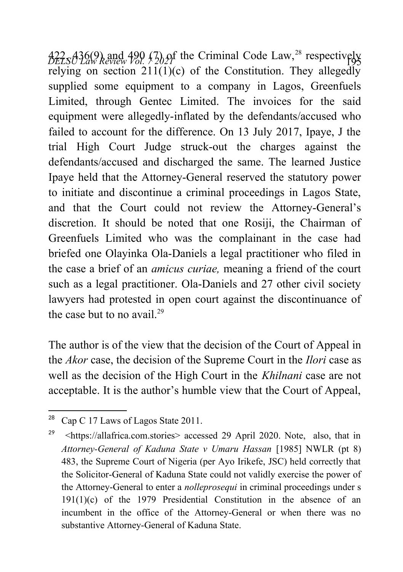*DELSU Law Review Vol. 7 2021* <sup>195</sup> 422, 436(9) and 490 (7) of the Criminal Code Law,[28](#page-15-0) respectively relying on section  $211(1)(c)$  of the Constitution. They allegedly supplied some equipment to a company in Lagos, Greenfuels Limited, through Gentec Limited. The invoices for the said equipment were allegedly-inflated by the defendants/accused who failed to account for the difference. On 13 July 2017, Ipaye, J the trial High Court Judge struck-out the charges against the defendants/accused and discharged the same. The learned Justice Ipaye held that the Attorney-General reserved the statutory power to initiate and discontinue a criminal proceedings in Lagos State, and that the Court could not review the Attorney-General's discretion. It should be noted that one Rosiji, the Chairman of Greenfuels Limited who was the complainant in the case had briefed one Olayinka Ola-Daniels a legal practitioner who filed in the case a brief of an *amicus curiae,* meaning a friend of the court such as a legal practitioner. Ola-Daniels and 27 other civil society lawyers had protested in open court against the discontinuance of the case but to no avail  $^{29}$  $^{29}$  $^{29}$ 

The author is of the view that the decision of the Court of Appeal in the *Akor* case, the decision of the Supreme Court in the *Ilori* case as well as the decision of the High Court in the *Khilnani* case are not acceptable. It is the author's humble view that the Court of Appeal,

<span id="page-15-0"></span><sup>&</sup>lt;sup>28</sup> Cap C 17 Laws of Lagos State 2011.

<span id="page-15-1"></span><sup>29</sup> <https://allafrica.com.stories> accessed 29 April 2020. Note, also, that in *Attorney-General of Kaduna State v Umaru Hassan* [1985] NWLR (pt 8) 483, the Supreme Court of Nigeria (per Ayo Irikefe, JSC) held correctly that the Solicitor-General of Kaduna State could not validly exercise the power of the Attorney-General to enter a *nolleprosequi* in criminal proceedings under s  $191(1)(c)$  of the 1979 Presidential Constitution in the absence of an incumbent in the office of the Attorney-General or when there was no substantive Attorney-General of Kaduna State.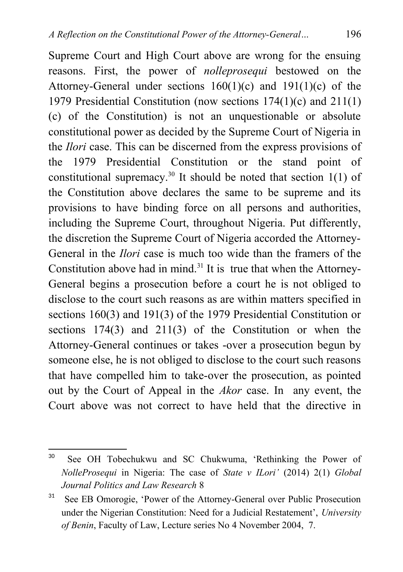Supreme Court and High Court above are wrong for the ensuing reasons. First, the power of *nolleprosequi* bestowed on the Attorney-General under sections 160(1)(c) and 191(1)(c) of the 1979 Presidential Constitution (now sections 174(1)(c) and 211(1) (c) of the Constitution) is not an unquestionable or absolute constitutional power as decided by the Supreme Court of Nigeria in the *Ilori* case. This can be discerned from the express provisions of the 1979 Presidential Constitution or the stand point of constitutional supremacy.<sup>[30](#page-16-0)</sup> It should be noted that section  $1(1)$  of the Constitution above declares the same to be supreme and its provisions to have binding force on all persons and authorities, including the Supreme Court, throughout Nigeria. Put differently, the discretion the Supreme Court of Nigeria accorded the Attorney-General in the *Ilori* case is much too wide than the framers of the Constitution above had in mind.<sup>[31](#page-16-1)</sup> It is true that when the Attorney-General begins a prosecution before a court he is not obliged to disclose to the court such reasons as are within matters specified in sections 160(3) and 191(3) of the 1979 Presidential Constitution or sections 174(3) and 211(3) of the Constitution or when the Attorney-General continues or takes -over a prosecution begun by someone else, he is not obliged to disclose to the court such reasons that have compelled him to take-over the prosecution, as pointed out by the Court of Appeal in the *Akor* case. In any event, the Court above was not correct to have held that the directive in

<span id="page-16-0"></span><sup>30</sup> See OH Tobechukwu and SC Chukwuma, 'Rethinking the Power of *NolleProsequi* in Nigeria: The case of *State v ILori'* (2014) 2(1) *Global Journal Politics and Law Research* 8

<span id="page-16-1"></span><sup>&</sup>lt;sup>31</sup> See EB Omorogie, 'Power of the Attorney-General over Public Prosecution under the Nigerian Constitution: Need for a Judicial Restatement', *University of Benin*, Faculty of Law, Lecture series No 4 November 2004, 7.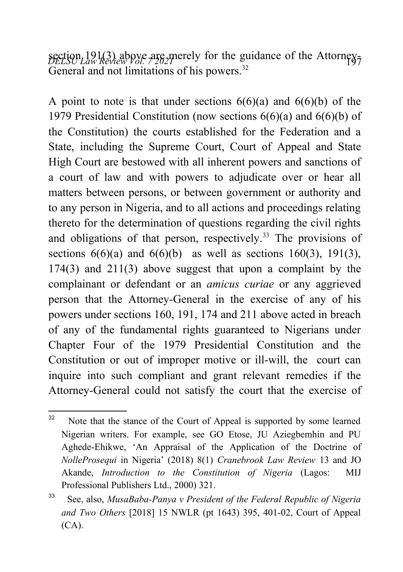section 191(3) above are merely for the guidance of the Attorney-<br>*DELSU Law Review Vol.*  $7202$ <sup>*P*</sup> General and not limitations of his powers.<sup>[32](#page-17-0)</sup>

A point to note is that under sections  $6(6)(a)$  and  $6(6)(b)$  of the 1979 Presidential Constitution (now sections 6(6)(a) and 6(6)(b) of the Constitution) the courts established for the Federation and a State, including the Supreme Court, Court of Appeal and State High Court are bestowed with all inherent powers and sanctions of a court of law and with powers to adjudicate over or hear all matters between persons, or between government or authority and to any person in Nigeria, and to all actions and proceedings relating thereto for the determination of questions regarding the civil rights and obligations of that person, respectively.<sup>[33](#page-17-1)</sup> The provisions of sections  $6(6)(a)$  and  $6(6)(b)$  as well as sections  $160(3)$ ,  $191(3)$ , 174(3) and 211(3) above suggest that upon a complaint by the complainant or defendant or an *amicus curiae* or any aggrieved person that the Attorney-General in the exercise of any of his powers under sections 160, 191, 174 and 211 above acted in breach of any of the fundamental rights guaranteed to Nigerians under Chapter Four of the 1979 Presidential Constitution and the Constitution or out of improper motive or ill-will, the court can inquire into such compliant and grant relevant remedies if the Attorney-General could not satisfy the court that the exercise of

<span id="page-17-0"></span><sup>&</sup>lt;sup>32</sup> Note that the stance of the Court of Appeal is supported by some learned Nigerian writers. For example, see GO Etose, JU Aziegbemhin and PU Aghede-Ehikwe, 'An Appraisal of the Application of the Doctrine of *NolleProsequi* in Nigeria' (2018) 8(1) *Cranebrook Law Review* 13 and JO Akande, *Introduction to the Constitution of Nigeria* (Lagos: MIJ Professional Publishers Ltd., 2000) 321.

<span id="page-17-1"></span><sup>33</sup> See, also, *MusaBaba-Panya v President of the Federal Republic of Nigeria and Two Others* [2018] 15 NWLR (pt 1643) 395, 401-02, Court of Appeal  $(CA)$ .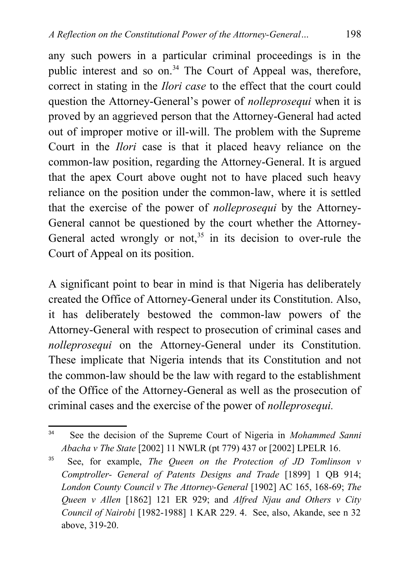any such powers in a particular criminal proceedings is in the public interest and so on.<sup>[34](#page-18-0)</sup> The Court of Appeal was, therefore, correct in stating in the *Ilori case* to the effect that the court could question the Attorney-General's power of *nolleprosequi* when it is proved by an aggrieved person that the Attorney-General had acted out of improper motive or ill-will. The problem with the Supreme Court in the *Ilori* case is that it placed heavy reliance on the common-law position, regarding the Attorney-General. It is argued that the apex Court above ought not to have placed such heavy reliance on the position under the common-law, where it is settled that the exercise of the power of *nolleprosequi* by the Attorney-General cannot be questioned by the court whether the Attorney-General acted wrongly or not,  $35$  in its decision to over-rule the Court of Appeal on its position.

A significant point to bear in mind is that Nigeria has deliberately created the Office of Attorney-General under its Constitution. Also, it has deliberately bestowed the common-law powers of the Attorney-General with respect to prosecution of criminal cases and *nolleprosequi* on the Attorney-General under its Constitution. These implicate that Nigeria intends that its Constitution and not the common-law should be the law with regard to the establishment of the Office of the Attorney-General as well as the prosecution of criminal cases and the exercise of the power of *nolleprosequi.*

<span id="page-18-0"></span><sup>34</sup> See the decision of the Supreme Court of Nigeria in *Mohammed Sanni Abacha v The State* [2002] 11 NWLR (pt 779) 437 or [2002] LPELR 16.

<span id="page-18-1"></span><sup>35</sup> See, for example, *The Queen on the Protection of JD Tomlinson v Comptroller- General of Patents Designs and Trade* [1899] 1 QB 914; *London County Council v The Attorney-General* [1902] AC 165, 168-69; *The Queen v Allen* [1862] 121 ER 929; and *Alfred Njau and Others v City Council of Nairobi* [1982-1988] 1 KAR 229. 4. See, also, Akande, see n 32 above, 319-20.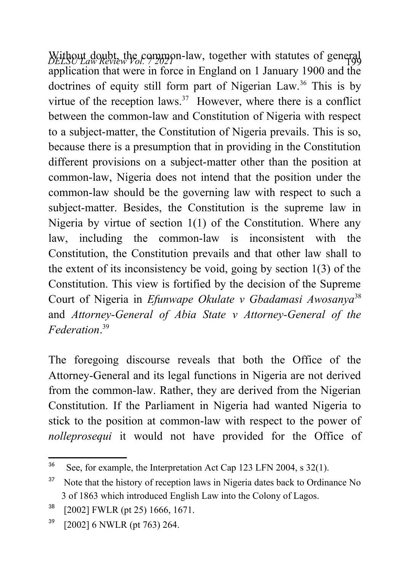Without doubt, the common-law, together with statutes of general application that were in force in England on 1 January 1900 and the doctrines of equity still form part of Nigerian Law.<sup>[36](#page-19-0)</sup> This is by virtue of the reception laws. $37$  However, where there is a conflict between the common-law and Constitution of Nigeria with respect to a subject-matter, the Constitution of Nigeria prevails. This is so, because there is a presumption that in providing in the Constitution different provisions on a subject-matter other than the position at common-law, Nigeria does not intend that the position under the common-law should be the governing law with respect to such a subject-matter. Besides, the Constitution is the supreme law in Nigeria by virtue of section 1(1) of the Constitution. Where any law, including the common-law is inconsistent with the Constitution, the Constitution prevails and that other law shall to the extent of its inconsistency be void, going by section 1(3) of the Constitution. This view is fortified by the decision of the Supreme Court of Nigeria in *Efunwape Okulate v Gbadamasi Awosanya*[38](#page-19-2) and *Attorney-General of Abia State v Attorney-General of the Federation*. [39](#page-19-3)

The foregoing discourse reveals that both the Office of the Attorney-General and its legal functions in Nigeria are not derived from the common-law. Rather, they are derived from the Nigerian Constitution. If the Parliament in Nigeria had wanted Nigeria to stick to the position at common-law with respect to the power of *nolleprosequi* it would not have provided for the Office of

<span id="page-19-0"></span><sup>&</sup>lt;sup>36</sup> See, for example, the Interpretation Act Cap 123 LFN 2004, s 32(1).

<span id="page-19-1"></span> $37$  Note that the history of reception laws in Nigeria dates back to Ordinance No 3 of 1863 which introduced English Law into the Colony of Lagos.

<span id="page-19-2"></span> $38$  [2002] FWLR (pt 25) 1666, 1671.

<span id="page-19-3"></span> $39$  [2002] 6 NWLR (pt 763) 264.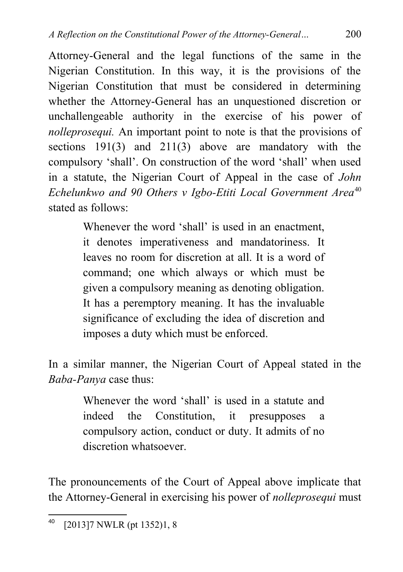Attorney-General and the legal functions of the same in the Nigerian Constitution. In this way, it is the provisions of the Nigerian Constitution that must be considered in determining whether the Attorney-General has an unquestioned discretion or unchallengeable authority in the exercise of his power of *nolleprosequi.* An important point to note is that the provisions of sections 191(3) and 211(3) above are mandatory with the compulsory 'shall'. On construction of the word 'shall' when used in a statute, the Nigerian Court of Appeal in the case of *John Echelunkwo and 90 Others v Igbo-Etiti Local Government Area*[40](#page-20-0) stated as follows:

> Whenever the word 'shall' is used in an enactment, it denotes imperativeness and mandatoriness. It leaves no room for discretion at all. It is a word of command; one which always or which must be given a compulsory meaning as denoting obligation. It has a peremptory meaning. It has the invaluable significance of excluding the idea of discretion and imposes a duty which must be enforced.

In a similar manner, the Nigerian Court of Appeal stated in the *Baba-Panya* case thus:

> Whenever the word 'shall' is used in a statute and indeed the Constitution, it presupposes a compulsory action, conduct or duty. It admits of no discretion whatsoever.

The pronouncements of the Court of Appeal above implicate that the Attorney-General in exercising his power of *nolleprosequi* must

<span id="page-20-0"></span><sup>40</sup> [2013]7 NWLR (pt 1352)1, 8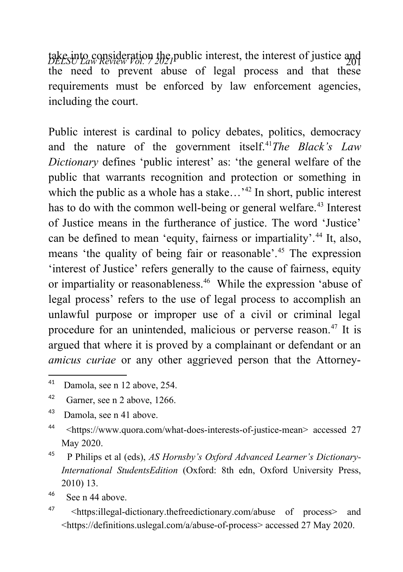take into consideration the public interest, the interest of justice and<br>*DELSU Law Review Vol.* 2021 the need to prevent abuse of legal process and that these requirements must be enforced by law enforcement agencies, including the court.

Public interest is cardinal to policy debates, politics, democracy and the nature of the government itself.<sup>[41](#page-21-0)</sup>*The Black's Law Dictionary* defines 'public interest' as: 'the general welfare of the public that warrants recognition and protection or something in which the public as a whole has a stake...<sup>[42](#page-21-1)</sup> In short, public interest has to do with the common well-being or general welfare.<sup>[43](#page-21-2)</sup> Interest of Justice means in the furtherance of justice. The word 'Justice' can be defined to mean 'equity, fairness or impartiality'.<sup>[44](#page-21-3)</sup> It, also, means 'the quality of being fair or reasonable'.[45](#page-21-4) The expression 'interest of Justice' refers generally to the cause of fairness, equity or impartiality or reasonableness.<sup>[46](#page-21-5)</sup> While the expression 'abuse of legal process' refers to the use of legal process to accomplish an unlawful purpose or improper use of a civil or criminal legal procedure for an unintended, malicious or perverse reason.<sup>[47](#page-21-6)</sup> It is argued that where it is proved by a complainant or defendant or an *amicus curiae* or any other aggrieved person that the Attorney-

<span id="page-21-5"></span> $46$  See n 44 above

<span id="page-21-0"></span><sup>41</sup> Damola, see n 12 above, 254.

<span id="page-21-1"></span><sup>42</sup> Garner, see n 2 above, 1266.

<span id="page-21-2"></span><sup>43</sup> Damola, see n 41 above.

<span id="page-21-3"></span><sup>44</sup> <https://www.quora.com/what-does-interests-of-justice-mean> accessed 27 May 2020.

<span id="page-21-4"></span><sup>45</sup> P Philips et al (eds), *AS Hornsby's Oxford Advanced Learner's Dictionary-International StudentsEdition* (Oxford: 8th edn, Oxford University Press, 2010) 13.

<span id="page-21-6"></span><sup>47</sup> <https:illegal-dictionary.thefreedictionary.com/abuse of process> and <https://definitions.uslegal.com/a/abuse-of-process> accessed 27 May 2020.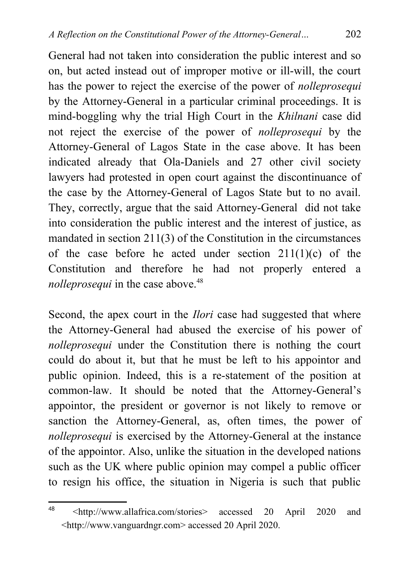General had not taken into consideration the public interest and so on, but acted instead out of improper motive or ill-will, the court has the power to reject the exercise of the power of *nolleprosequi* by the Attorney-General in a particular criminal proceedings. It is mind-boggling why the trial High Court in the *Khilnani* case did not reject the exercise of the power of *nolleprosequi* by the Attorney-General of Lagos State in the case above. It has been indicated already that Ola-Daniels and 27 other civil society lawyers had protested in open court against the discontinuance of the case by the Attorney-General of Lagos State but to no avail. They, correctly, argue that the said Attorney-General did not take into consideration the public interest and the interest of justice, as mandated in section 211(3) of the Constitution in the circumstances of the case before he acted under section  $211(1)(c)$  of the Constitution and therefore he had not properly entered a *nolleprosequi* in the case above.<sup>[48](#page-22-0)</sup>

Second, the apex court in the *Ilori* case had suggested that where the Attorney-General had abused the exercise of his power of *nolleprosequi* under the Constitution there is nothing the court could do about it, but that he must be left to his appointor and public opinion. Indeed, this is a re-statement of the position at common-law. It should be noted that the Attorney-General's appointor, the president or governor is not likely to remove or sanction the Attorney-General, as, often times, the power of *nolleprosequi* is exercised by the Attorney-General at the instance of the appointor. Also, unlike the situation in the developed nations such as the UK where public opinion may compel a public officer to resign his office, the situation in Nigeria is such that public

<span id="page-22-0"></span><sup>48</sup> <http://www.allafrica.com/stories> accessed 20 April 2020 and <http://www.vanguardngr.com> accessed 20 April 2020.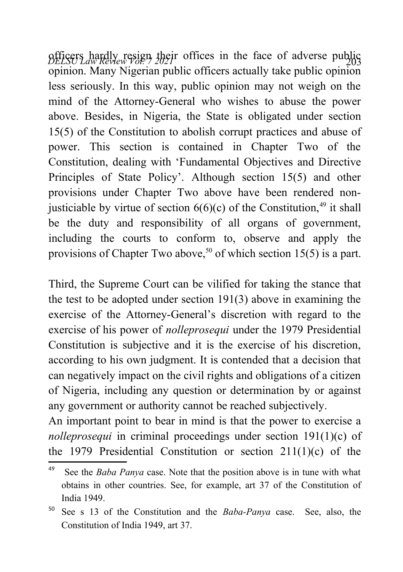*DELSU Law Review Vol. 7 2021* <sup>203</sup> officers hardly resign their offices in the face of adverse public opinion. Many Nigerian public officers actually take public opinion less seriously. In this way, public opinion may not weigh on the mind of the Attorney-General who wishes to abuse the power above. Besides, in Nigeria, the State is obligated under section 15(5) of the Constitution to abolish corrupt practices and abuse of power. This section is contained in Chapter Two of the Constitution, dealing with 'Fundamental Objectives and Directive Principles of State Policy'. Although section 15(5) and other provisions under Chapter Two above have been rendered nonjusticiable by virtue of section  $6(6)(c)$  of the Constitution,<sup>[49](#page-23-0)</sup> it shall be the duty and responsibility of all organs of government, including the courts to conform to, observe and apply the provisions of Chapter Two above,<sup>[50](#page-23-1)</sup> of which section 15(5) is a part.

Third, the Supreme Court can be vilified for taking the stance that the test to be adopted under section 191(3) above in examining the exercise of the Attorney-General's discretion with regard to the exercise of his power of *nolleprosequi* under the 1979 Presidential Constitution is subjective and it is the exercise of his discretion, according to his own judgment. It is contended that a decision that can negatively impact on the civil rights and obligations of a citizen of Nigeria, including any question or determination by or against any government or authority cannot be reached subjectively.

An important point to bear in mind is that the power to exercise a *nolleprosequi* in criminal proceedings under section 191(1)(c) of the 1979 Presidential Constitution or section  $211(1)(c)$  of the

<span id="page-23-0"></span><sup>49</sup> See the *Baba Panya* case. Note that the position above is in tune with what obtains in other countries. See, for example, art 37 of the Constitution of India 1949.

<span id="page-23-1"></span><sup>50</sup> See s 13 of the Constitution and the *Baba-Panya* case. See, also, the Constitution of India 1949, art 37.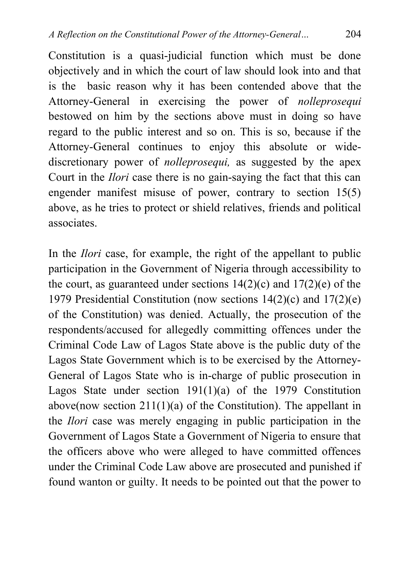Constitution is a quasi-judicial function which must be done objectively and in which the court of law should look into and that is the basic reason why it has been contended above that the Attorney-General in exercising the power of *nolleprosequi* bestowed on him by the sections above must in doing so have regard to the public interest and so on. This is so, because if the Attorney-General continues to enjoy this absolute or widediscretionary power of *nolleprosequi,* as suggested by the apex Court in the *Ilori* case there is no gain-saying the fact that this can engender manifest misuse of power, contrary to section 15(5) above, as he tries to protect or shield relatives, friends and political associates.

In the *Ilori* case, for example, the right of the appellant to public participation in the Government of Nigeria through accessibility to the court, as guaranteed under sections  $14(2)(c)$  and  $17(2)(e)$  of the 1979 Presidential Constitution (now sections 14(2)(c) and 17(2)(e) of the Constitution) was denied. Actually, the prosecution of the respondents/accused for allegedly committing offences under the Criminal Code Law of Lagos State above is the public duty of the Lagos State Government which is to be exercised by the Attorney-General of Lagos State who is in-charge of public prosecution in Lagos State under section 191(1)(a) of the 1979 Constitution above(now section 211(1)(a) of the Constitution). The appellant in the *Ilori* case was merely engaging in public participation in the Government of Lagos State a Government of Nigeria to ensure that the officers above who were alleged to have committed offences under the Criminal Code Law above are prosecuted and punished if found wanton or guilty. It needs to be pointed out that the power to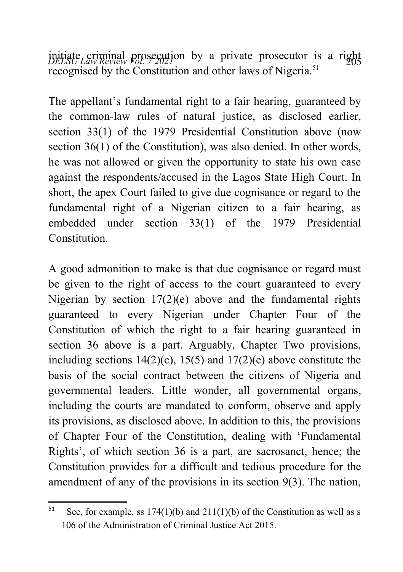*DELSU Law Review Fol. 7 2021* ions by a private prosecutor is a right recognised by the Constitution and other laws of Nigeria.<sup>[51](#page-25-0)</sup>

The appellant's fundamental right to a fair hearing, guaranteed by the common-law rules of natural justice, as disclosed earlier, section 33(1) of the 1979 Presidential Constitution above (now section 36(1) of the Constitution), was also denied. In other words, he was not allowed or given the opportunity to state his own case against the respondents/accused in the Lagos State High Court. In short, the apex Court failed to give due cognisance or regard to the fundamental right of a Nigerian citizen to a fair hearing, as embedded under section 33(1) of the 1979 Presidential **Constitution** 

A good admonition to make is that due cognisance or regard must be given to the right of access to the court guaranteed to every Nigerian by section  $17(2)(e)$  above and the fundamental rights guaranteed to every Nigerian under Chapter Four of the Constitution of which the right to a fair hearing guaranteed in section 36 above is a part. Arguably, Chapter Two provisions, including sections  $14(2)(c)$ ,  $15(5)$  and  $17(2)(e)$  above constitute the basis of the social contract between the citizens of Nigeria and governmental leaders. Little wonder, all governmental organs, including the courts are mandated to conform, observe and apply its provisions, as disclosed above. In addition to this, the provisions of Chapter Four of the Constitution, dealing with 'Fundamental Rights', of which section 36 is a part, are sacrosanct, hence; the Constitution provides for a difficult and tedious procedure for the amendment of any of the provisions in its section 9(3). The nation,

<span id="page-25-0"></span><sup>&</sup>lt;sup>51</sup> See, for example, ss 174(1)(b) and 211(1)(b) of the Constitution as well as s 106 of the Administration of Criminal Justice Act 2015.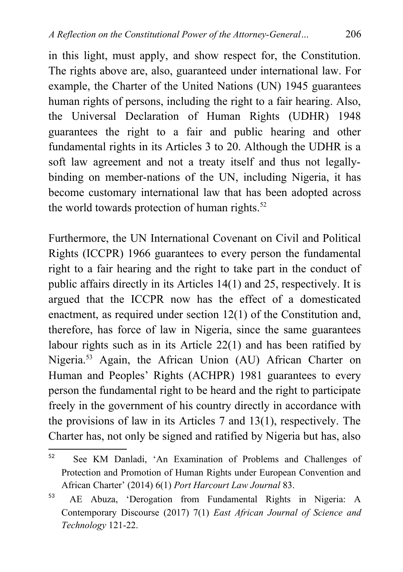in this light, must apply, and show respect for, the Constitution. The rights above are, also, guaranteed under international law. For example, the Charter of the United Nations (UN) 1945 guarantees human rights of persons, including the right to a fair hearing. Also, the Universal Declaration of Human Rights (UDHR) 1948 guarantees the right to a fair and public hearing and other fundamental rights in its Articles 3 to 20. Although the UDHR is a soft law agreement and not a treaty itself and thus not legallybinding on member-nations of the UN, including Nigeria, it has become customary international law that has been adopted across the world towards protection of human rights. $52$ 

Furthermore, the UN International Covenant on Civil and Political Rights (ICCPR) 1966 guarantees to every person the fundamental right to a fair hearing and the right to take part in the conduct of public affairs directly in its Articles 14(1) and 25, respectively. It is argued that the ICCPR now has the effect of a domesticated enactment, as required under section 12(1) of the Constitution and, therefore, has force of law in Nigeria, since the same guarantees labour rights such as in its Article 22(1) and has been ratified by Nigeria.<sup>[53](#page-26-1)</sup> Again, the African Union (AU) African Charter on Human and Peoples' Rights (ACHPR) 1981 guarantees to every person the fundamental right to be heard and the right to participate freely in the government of his country directly in accordance with the provisions of law in its Articles 7 and 13(1), respectively. The Charter has, not only be signed and ratified by Nigeria but has, also

<span id="page-26-0"></span><sup>52</sup> See KM Danladi, 'An Examination of Problems and Challenges of Protection and Promotion of Human Rights under European Convention and African Charter' (2014) 6(1) *Port Harcourt Law Journal* 83.

<span id="page-26-1"></span><sup>53</sup> AE Abuza, 'Derogation from Fundamental Rights in Nigeria: A Contemporary Discourse (2017) 7(1) *East African Journal of Science and Technology* 121-22.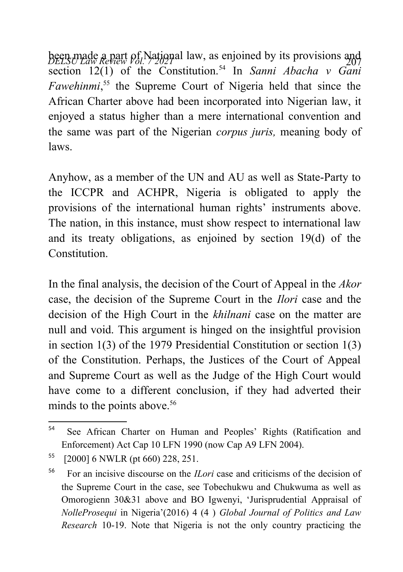been made a part of National law, as enjoined by its provisions and section 12(1) of the Constitution.[54](#page-27-0) In *Sanni Abacha v Gani Fawehinmi*, [55](#page-27-1) the Supreme Court of Nigeria held that since the African Charter above had been incorporated into Nigerian law, it enjoyed a status higher than a mere international convention and the same was part of the Nigerian *corpus juris,* meaning body of laws.

Anyhow, as a member of the UN and AU as well as State-Party to the ICCPR and ACHPR, Nigeria is obligated to apply the provisions of the international human rights' instruments above. The nation, in this instance, must show respect to international law and its treaty obligations, as enjoined by section 19(d) of the **Constitution** 

In the final analysis, the decision of the Court of Appeal in the *Akor* case, the decision of the Supreme Court in the *Ilori* case and the decision of the High Court in the *khilnani* case on the matter are null and void. This argument is hinged on the insightful provision in section 1(3) of the 1979 Presidential Constitution or section 1(3) of the Constitution. Perhaps, the Justices of the Court of Appeal and Supreme Court as well as the Judge of the High Court would have come to a different conclusion, if they had adverted their minds to the points above.<sup>[56](#page-27-2)</sup>

<span id="page-27-0"></span><sup>54</sup> See African Charter on Human and Peoples' Rights (Ratification and Enforcement) Act Cap 10 LFN 1990 (now Cap A9 LFN 2004).

<span id="page-27-1"></span><sup>55</sup> [2000] 6 NWLR (pt 660) 228, 251.

<span id="page-27-2"></span><sup>56</sup> For an incisive discourse on the *ILori* case and criticisms of the decision of the Supreme Court in the case, see Tobechukwu and Chukwuma as well as Omorogienn 30&31 above and BO Igwenyi, 'Jurisprudential Appraisal of *NolleProsequi* in Nigeria'(2016) 4 (4 ) *Global Journal of Politics and Law Research* 10-19. Note that Nigeria is not the only country practicing the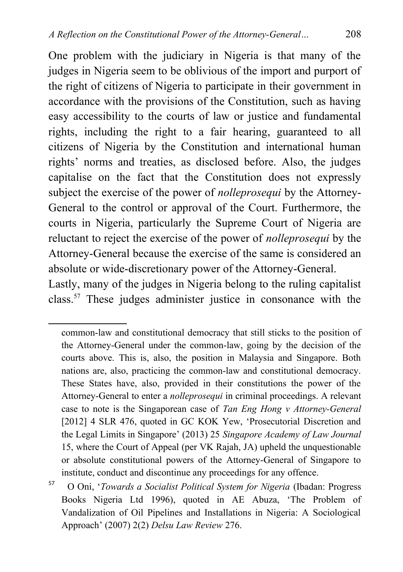One problem with the judiciary in Nigeria is that many of the judges in Nigeria seem to be oblivious of the import and purport of the right of citizens of Nigeria to participate in their government in accordance with the provisions of the Constitution, such as having easy accessibility to the courts of law or justice and fundamental rights, including the right to a fair hearing, guaranteed to all citizens of Nigeria by the Constitution and international human rights' norms and treaties, as disclosed before. Also, the judges capitalise on the fact that the Constitution does not expressly subject the exercise of the power of *nolleprosequi* by the Attorney-General to the control or approval of the Court. Furthermore, the courts in Nigeria, particularly the Supreme Court of Nigeria are reluctant to reject the exercise of the power of *nolleprosequi* by the Attorney-General because the exercise of the same is considered an absolute or wide-discretionary power of the Attorney-General.

Lastly, many of the judges in Nigeria belong to the ruling capitalist class.[57](#page-28-0) These judges administer justice in consonance with the

common-law and constitutional democracy that still sticks to the position of the Attorney-General under the common-law, going by the decision of the courts above. This is, also, the position in Malaysia and Singapore. Both nations are, also, practicing the common-law and constitutional democracy. These States have, also, provided in their constitutions the power of the Attorney-General to enter a *nolleprosequi* in criminal proceedings. A relevant case to note is the Singaporean case of *Tan Eng Hong v Attorney-General* [2012] 4 SLR 476, quoted in GC KOK Yew, 'Prosecutorial Discretion and the Legal Limits in Singapore' (2013) 25 *Singapore Academy of Law Journal* 15, where the Court of Appeal (per VK Rajah, JA) upheld the unquestionable or absolute constitutional powers of the Attorney-General of Singapore to institute, conduct and discontinue any proceedings for any offence.

<span id="page-28-0"></span><sup>57</sup> O Oni, '*Towards a Socialist Political System for Nigeria* (Ibadan: Progress Books Nigeria Ltd 1996), quoted in AE Abuza, 'The Problem of Vandalization of Oil Pipelines and Installations in Nigeria: A Sociological Approach' (2007) 2(2) *Delsu Law Review* 276.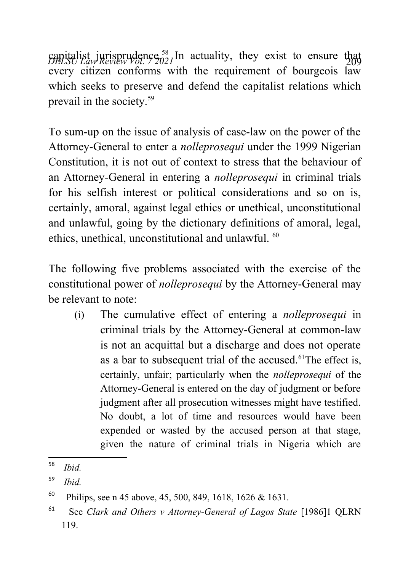capitalist jurisprudence.<sup>[58](#page-29-0)</sup> In actuality, they exist to ensure that  $D_t^{\text{H}}$ every citizen conforms with the requirement of bourgeois law which seeks to preserve and defend the capitalist relations which prevail in the society.[59](#page-29-1)

To sum-up on the issue of analysis of case-law on the power of the Attorney-General to enter a *nolleprosequi* under the 1999 Nigerian Constitution, it is not out of context to stress that the behaviour of an Attorney-General in entering a *nolleprosequi* in criminal trials for his selfish interest or political considerations and so on is, certainly, amoral, against legal ethics or unethical, unconstitutional and unlawful, going by the dictionary definitions of amoral, legal, ethics, unethical, unconstitutional and unlawful. <sup>[60](#page-29-2)</sup>

The following five problems associated with the exercise of the constitutional power of *nolleprosequi* by the Attorney-General may be relevant to note:

(i) The cumulative effect of entering a *nolleprosequi* in criminal trials by the Attorney-General at common-law is not an acquittal but a discharge and does not operate as a bar to subsequent trial of the accused. $61$ The effect is, certainly, unfair; particularly when the *nolleprosequi* of the Attorney-General is entered on the day of judgment or before judgment after all prosecution witnesses might have testified. No doubt, a lot of time and resources would have been expended or wasted by the accused person at that stage, given the nature of criminal trials in Nigeria which are

<span id="page-29-0"></span><sup>58</sup> *Ibid.*

<span id="page-29-1"></span><sup>59</sup> *Ibid.*

<span id="page-29-2"></span><sup>&</sup>lt;sup>60</sup> Philips, see n 45 above, 45, 500, 849, 1618, 1626 & 1631.

<span id="page-29-3"></span><sup>61</sup> See *Clark and Others v Attorney-General of Lagos State* [1986]1 QLRN 119.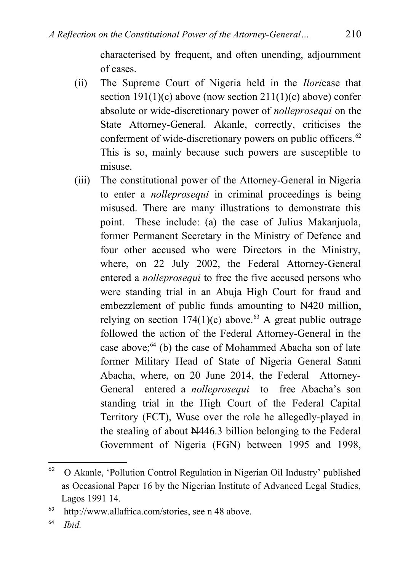characterised by frequent, and often unending, adjournment of cases.

- (ii) The Supreme Court of Nigeria held in the *Ilori*case that section  $191(1)(c)$  above (now section  $211(1)(c)$  above) confer absolute or wide-discretionary power of *nolleprosequi* on the State Attorney-General. Akanle, correctly, criticises the conferment of wide-discretionary powers on public officers. $62$ This is so, mainly because such powers are susceptible to misuse.
- (iii) The constitutional power of the Attorney-General in Nigeria to enter a *nolleprosequi* in criminal proceedings is being misused. There are many illustrations to demonstrate this point. These include: (a) the case of Julius Makanjuola, former Permanent Secretary in the Ministry of Defence and four other accused who were Directors in the Ministry, where, on 22 July 2002, the Federal Attorney-General entered a *nolleprosequi* to free the five accused persons who were standing trial in an Abuja High Court for fraud and embezzlement of public funds amounting to N420 million, relying on section  $174(1)(c)$  above.<sup>[63](#page-30-1)</sup> A great public outrage followed the action of the Federal Attorney-General in the case above; $64$  (b) the case of Mohammed Abacha son of late former Military Head of State of Nigeria General Sanni Abacha, where, on 20 June 2014, the Federal Attorney-General entered a *nolleprosequi* to free Abacha's son standing trial in the High Court of the Federal Capital Territory (FCT), Wuse over the role he allegedly-played in the stealing of about N446.3 billion belonging to the Federal Government of Nigeria (FGN) between 1995 and 1998,

<span id="page-30-0"></span><sup>62</sup> O Akanle, 'Pollution Control Regulation in Nigerian Oil Industry' published as Occasional Paper 16 by the Nigerian Institute of Advanced Legal Studies, Lagos 1991 14.

<span id="page-30-1"></span><sup>63</sup> http://www.allafrica.com/stories, see n 48 above.

<span id="page-30-2"></span><sup>64</sup> *Ibid.*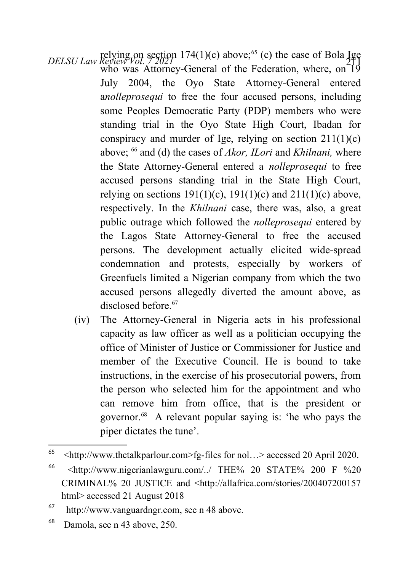- *DELSU Law Review Vol. 7 2021* 174(1)(c) above;<sup>[65](#page-31-0)</sup> (c) the case of Bola Ige<br>who was Attorney-General of the Federation, where, on 19 July 2004, the Oyo State Attorney-General entered a*nolleprosequi* to free the four accused persons, including some Peoples Democratic Party (PDP) members who were standing trial in the Oyo State High Court, Ibadan for conspiracy and murder of Ige, relying on section  $211(1)(c)$ above; [66](#page-31-1) and (d) the cases of *Akor, ILori* and *Khilnani,* where the State Attorney-General entered a *nolleprosequi* to free accused persons standing trial in the State High Court, relying on sections  $191(1)(c)$ ,  $191(1)(c)$  and  $211(1)(c)$  above, respectively. In the *Khilnani* case, there was, also, a great public outrage which followed the *nolleprosequi* entered by the Lagos State Attorney-General to free the accused persons. The development actually elicited wide-spread condemnation and protests, especially by workers of Greenfuels limited a Nigerian company from which the two accused persons allegedly diverted the amount above, as disclosed before <sup>[67](#page-31-2)</sup>
	- (iv) The Attorney-General in Nigeria acts in his professional capacity as law officer as well as a politician occupying the office of Minister of Justice or Commissioner for Justice and member of the Executive Council. He is bound to take instructions, in the exercise of his prosecutorial powers, from the person who selected him for the appointment and who can remove him from office, that is the president or governor.[68](#page-31-3) A relevant popular saying is: 'he who pays the piper dictates the tune'.

<span id="page-31-0"></span><sup>&</sup>lt;sup>65</sup>  $\leq$ http://www.thetalkparlour.com>fg-files for nol...> accessed 20 April 2020.

<span id="page-31-1"></span><sup>66</sup> <http://www.nigerianlawguru.com/../ THE% 20 STATE% 200 F %20 CRIMINAL% 20 JUSTICE and <http://allafrica.com/stories/200407200157 html> accessed 21 August 2018

<span id="page-31-2"></span><sup>67</sup> http://www.vanguardngr.com, see n 48 above.

<span id="page-31-3"></span><sup>68</sup> Damola, see n 43 above, 250.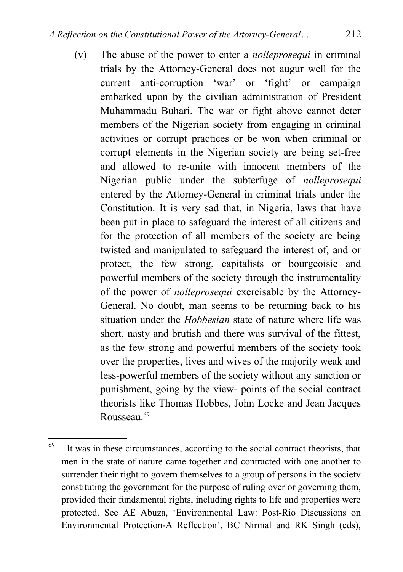(v) The abuse of the power to enter a *nolleprosequi* in criminal trials by the Attorney-General does not augur well for the current anti-corruption 'war' or 'fight' or campaign embarked upon by the civilian administration of President Muhammadu Buhari. The war or fight above cannot deter members of the Nigerian society from engaging in criminal activities or corrupt practices or be won when criminal or corrupt elements in the Nigerian society are being set-free and allowed to re-unite with innocent members of the Nigerian public under the subterfuge of *nolleprosequi* entered by the Attorney-General in criminal trials under the Constitution. It is very sad that, in Nigeria, laws that have been put in place to safeguard the interest of all citizens and for the protection of all members of the society are being twisted and manipulated to safeguard the interest of, and or protect, the few strong, capitalists or bourgeoisie and powerful members of the society through the instrumentality of the power of *nolleprosequi* exercisable by the Attorney-General. No doubt, man seems to be returning back to his situation under the *Hobbesian* state of nature where life was short, nasty and brutish and there was survival of the fittest, as the few strong and powerful members of the society took over the properties, lives and wives of the majority weak and less-powerful members of the society without any sanction or punishment, going by the view- points of the social contract theorists like Thomas Hobbes, John Locke and Jean Jacques Rousseau.<sup>[69](#page-32-0)</sup>

<span id="page-32-0"></span><sup>69</sup> It was in these circumstances, according to the social contract theorists, that men in the state of nature came together and contracted with one another to surrender their right to govern themselves to a group of persons in the society constituting the government for the purpose of ruling over or governing them, provided their fundamental rights, including rights to life and properties were protected. See AE Abuza, 'Environmental Law: Post-Rio Discussions on Environmental Protection-A Reflection', BC Nirmal and RK Singh (eds),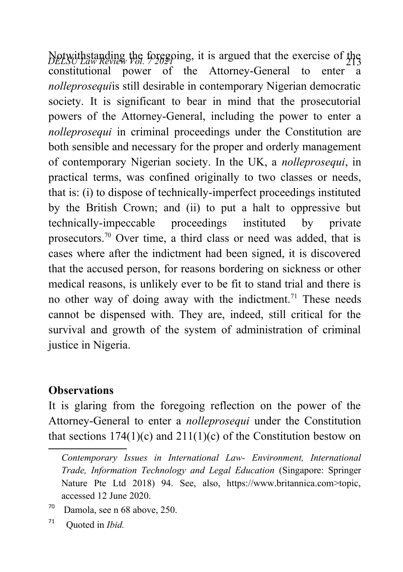*DeLSU Law Review Vol. 72020* 213<br>constitutional nower of the Attorney-General to enter a  $\frac{\text{p}_\text{EESC}}{\text{Lipot}(\text{m})}$  and  $\frac{\text{p}_\text{EESC}}{\text{p}_\text{EESC}}$  and  $\frac{\text{p}_\text{EESC}}{\text{p}_\text{EESC}}$  and  $\frac{\text{p}_\text{EESC}}{\text{p}_\text{EESC}}$  and  $\frac{\text{p}_\text{EESC}}{\text{p}_\text{EESC}}$  and  $\frac{\text{p}_\text{EESC}}{\text{p}_\text{EESC}}$  and  $\frac{\text{p}_\text{EESC}}{\text{p}_\text$ *nolleprosequi*is still desirable in contemporary Nigerian democratic society. It is significant to bear in mind that the prosecutorial powers of the Attorney-General, including the power to enter a *nolleprosequi* in criminal proceedings under the Constitution are both sensible and necessary for the proper and orderly management of contemporary Nigerian society. In the UK, a *nolleprosequi*, in practical terms, was confined originally to two classes or needs, that is: (i) to dispose of technically-imperfect proceedings instituted by the British Crown; and (ii) to put a halt to oppressive but technically-impeccable proceedings instituted by private prosecutors.[70](#page-33-0) Over time, a third class or need was added, that is cases where after the indictment had been signed, it is discovered that the accused person, for reasons bordering on sickness or other medical reasons, is unlikely ever to be fit to stand trial and there is no other way of doing away with the indictment.<sup>[71](#page-33-1)</sup> These needs cannot be dispensed with. They are, indeed, still critical for the survival and growth of the system of administration of criminal justice in Nigeria.

#### **Observations**

It is glaring from the foregoing reflection on the power of the Attorney-General to enter a *nolleprosequi* under the Constitution that sections  $174(1)(c)$  and  $211(1)(c)$  of the Constitution bestow on

*Contemporary Issues in International Law- Environment, International Trade, Information Technology and Legal Education* (Singapore: Springer Nature Pte Ltd 2018) 94. See, also, https://www.britannica.com>topic, accessed 12 June 2020.

<span id="page-33-0"></span> $70$  Damola, see n 68 above, 250.

<span id="page-33-1"></span><sup>71</sup> Quoted in *Ibid.*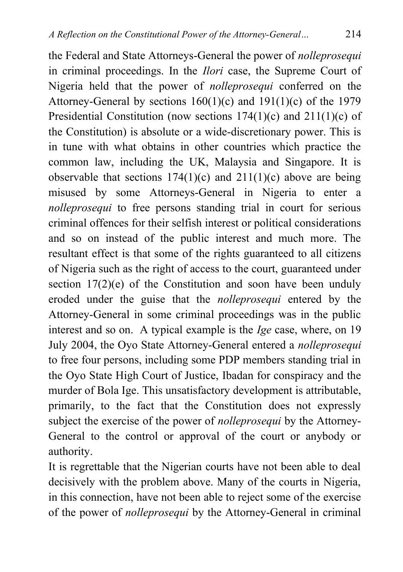the Federal and State Attorneys-General the power of *nolleprosequi* in criminal proceedings. In the *Ilori* case, the Supreme Court of Nigeria held that the power of *nolleprosequi* conferred on the Attorney-General by sections  $160(1)(c)$  and  $191(1)(c)$  of the 1979 Presidential Constitution (now sections 174(1)(c) and 211(1)(c) of the Constitution) is absolute or a wide-discretionary power. This is in tune with what obtains in other countries which practice the common law, including the UK, Malaysia and Singapore. It is observable that sections  $174(1)(c)$  and  $211(1)(c)$  above are being misused by some Attorneys-General in Nigeria to enter a *nolleprosequi* to free persons standing trial in court for serious criminal offences for their selfish interest or political considerations and so on instead of the public interest and much more. The resultant effect is that some of the rights guaranteed to all citizens of Nigeria such as the right of access to the court, guaranteed under section 17(2)(e) of the Constitution and soon have been unduly eroded under the guise that the *nolleprosequi* entered by the Attorney-General in some criminal proceedings was in the public interest and so on. A typical example is the *Ige* case, where, on 19 July 2004, the Oyo State Attorney-General entered a *nolleprosequi* to free four persons, including some PDP members standing trial in the Oyo State High Court of Justice, Ibadan for conspiracy and the murder of Bola Ige. This unsatisfactory development is attributable, primarily, to the fact that the Constitution does not expressly subject the exercise of the power of *nolleprosequi* by the Attorney-General to the control or approval of the court or anybody or authority.

It is regrettable that the Nigerian courts have not been able to deal decisively with the problem above. Many of the courts in Nigeria, in this connection, have not been able to reject some of the exercise of the power of *nolleprosequi* by the Attorney-General in criminal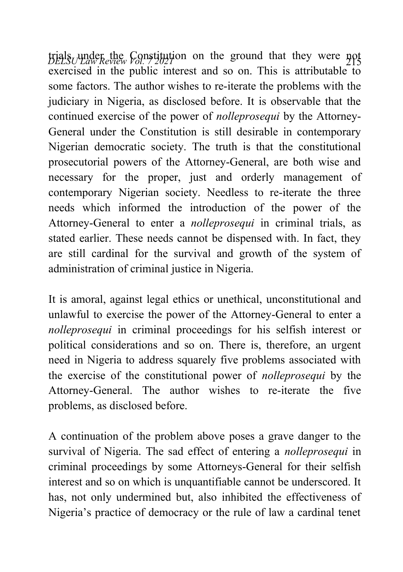*DELSU Law Review Vol. 7 2021* <sup>215</sup> trials under the Constitution on the ground that they were not  $\frac{\text{p}}{\text{exercised}}$  in the public interest and so on. This is attributable to some factors. The author wishes to re-iterate the problems with the judiciary in Nigeria, as disclosed before. It is observable that the continued exercise of the power of *nolleprosequi* by the Attorney-General under the Constitution is still desirable in contemporary Nigerian democratic society. The truth is that the constitutional prosecutorial powers of the Attorney-General, are both wise and necessary for the proper, just and orderly management of contemporary Nigerian society. Needless to re-iterate the three needs which informed the introduction of the power of the Attorney-General to enter a *nolleprosequi* in criminal trials, as stated earlier. These needs cannot be dispensed with. In fact, they are still cardinal for the survival and growth of the system of administration of criminal justice in Nigeria.

It is amoral, against legal ethics or unethical, unconstitutional and unlawful to exercise the power of the Attorney-General to enter a *nolleprosequi* in criminal proceedings for his selfish interest or political considerations and so on. There is, therefore, an urgent need in Nigeria to address squarely five problems associated with the exercise of the constitutional power of *nolleprosequi* by the Attorney-General. The author wishes to re-iterate the five problems, as disclosed before.

A continuation of the problem above poses a grave danger to the survival of Nigeria. The sad effect of entering a *nolleprosequi* in criminal proceedings by some Attorneys-General for their selfish interest and so on which is unquantifiable cannot be underscored. It has, not only undermined but, also inhibited the effectiveness of Nigeria's practice of democracy or the rule of law a cardinal tenet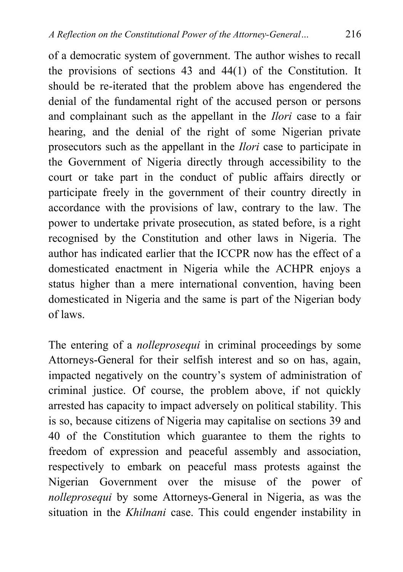of a democratic system of government. The author wishes to recall the provisions of sections 43 and 44(1) of the Constitution. It should be re-iterated that the problem above has engendered the denial of the fundamental right of the accused person or persons and complainant such as the appellant in the *Ilori* case to a fair hearing, and the denial of the right of some Nigerian private prosecutors such as the appellant in the *Ilori* case to participate in the Government of Nigeria directly through accessibility to the court or take part in the conduct of public affairs directly or participate freely in the government of their country directly in accordance with the provisions of law, contrary to the law. The power to undertake private prosecution, as stated before, is a right recognised by the Constitution and other laws in Nigeria. The author has indicated earlier that the ICCPR now has the effect of a domesticated enactment in Nigeria while the ACHPR enjoys a status higher than a mere international convention, having been domesticated in Nigeria and the same is part of the Nigerian body of laws.

The entering of a *nolleprosequi* in criminal proceedings by some Attorneys-General for their selfish interest and so on has, again, impacted negatively on the country's system of administration of criminal justice. Of course, the problem above, if not quickly arrested has capacity to impact adversely on political stability. This is so, because citizens of Nigeria may capitalise on sections 39 and 40 of the Constitution which guarantee to them the rights to freedom of expression and peaceful assembly and association, respectively to embark on peaceful mass protests against the Nigerian Government over the misuse of the power of *nolleprosequi* by some Attorneys-General in Nigeria, as was the situation in the *Khilnani* case. This could engender instability in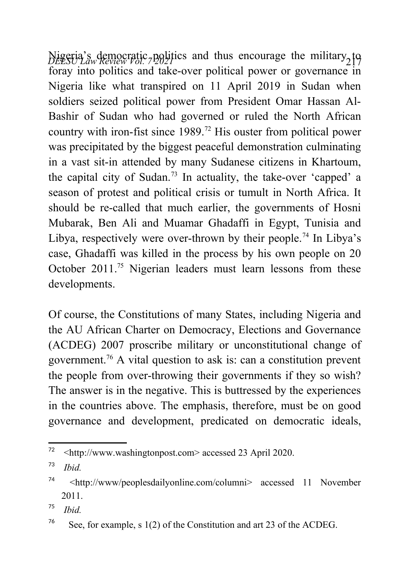*DELSU Law Review Vol. 7 2021* <sup>217</sup> Nigeria's democratic politics and thus encourage the military to foray into politics and take-over political power or governance in Nigeria like what transpired on 11 April 2019 in Sudan when soldiers seized political power from President Omar Hassan Al-Bashir of Sudan who had governed or ruled the North African country with iron-fist since  $1989$ .<sup>[72](#page-37-0)</sup> His ouster from political power was precipitated by the biggest peaceful demonstration culminating in a vast sit-in attended by many Sudanese citizens in Khartoum, the capital city of Sudan.<sup>[73](#page-37-1)</sup> In actuality, the take-over 'capped' a season of protest and political crisis or tumult in North Africa. It should be re-called that much earlier, the governments of Hosni Mubarak, Ben Ali and Muamar Ghadaffi in Egypt, Tunisia and Libya, respectively were over-thrown by their people.<sup>[74](#page-37-2)</sup> In Libya's case, Ghadaffi was killed in the process by his own people on 20 October 2011.[75](#page-37-3) Nigerian leaders must learn lessons from these developments.

Of course, the Constitutions of many States, including Nigeria and the AU African Charter on Democracy, Elections and Governance (ACDEG) 2007 proscribe military or unconstitutional change of government.<sup>[76](#page-37-4)</sup> A vital question to ask is: can a constitution prevent the people from over-throwing their governments if they so wish? The answer is in the negative. This is buttressed by the experiences in the countries above. The emphasis, therefore, must be on good governance and development, predicated on democratic ideals,

<span id="page-37-0"></span><sup>72</sup> <http://www.washingtonpost.com> accessed 23 April 2020.

<span id="page-37-1"></span><sup>73</sup> *Ibid.*

<span id="page-37-2"></span><sup>74</sup> <http://www/peoplesdailyonline.com/columni> accessed 11 November 2011.

<span id="page-37-3"></span><sup>75</sup> *Ibid.*

<span id="page-37-4"></span><sup>&</sup>lt;sup>76</sup> See, for example, s 1(2) of the Constitution and art 23 of the ACDEG.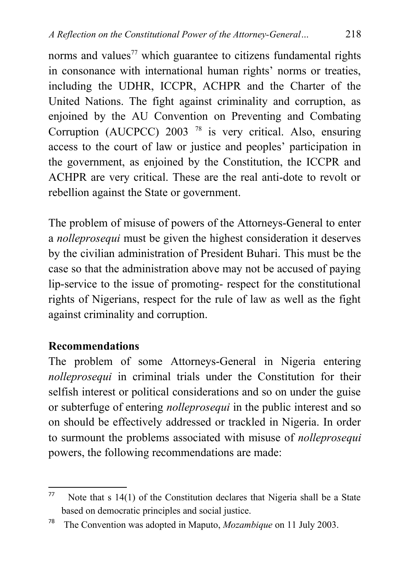norms and values<sup>[77](#page-38-0)</sup> which guarantee to citizens fundamental rights in consonance with international human rights' norms or treaties, including the UDHR, ICCPR, ACHPR and the Charter of the United Nations. The fight against criminality and corruption, as enjoined by the AU Convention on Preventing and Combating Corruption(AUCPCC) 2003<sup>78</sup> is very critical. Also, ensuring access to the court of law or justice and peoples' participation in the government, as enjoined by the Constitution, the ICCPR and ACHPR are very critical. These are the real anti-dote to revolt or rebellion against the State or government.

The problem of misuse of powers of the Attorneys-General to enter a *nolleprosequi* must be given the highest consideration it deserves by the civilian administration of President Buhari. This must be the case so that the administration above may not be accused of paying lip-service to the issue of promoting- respect for the constitutional rights of Nigerians, respect for the rule of law as well as the fight against criminality and corruption.

#### **Recommendations**

The problem of some Attorneys-General in Nigeria entering *nolleprosequi* in criminal trials under the Constitution for their selfish interest or political considerations and so on under the guise or subterfuge of entering *nolleprosequi* in the public interest and so on should be effectively addressed or trackled in Nigeria. In order to surmount the problems associated with misuse of *nolleprosequi* powers, the following recommendations are made:

<span id="page-38-0"></span> $77$  Note that s 14(1) of the Constitution declares that Nigeria shall be a State based on democratic principles and social justice.

<span id="page-38-1"></span><sup>78</sup> The Convention was adopted in Maputo, *Mozambique* on 11 July 2003.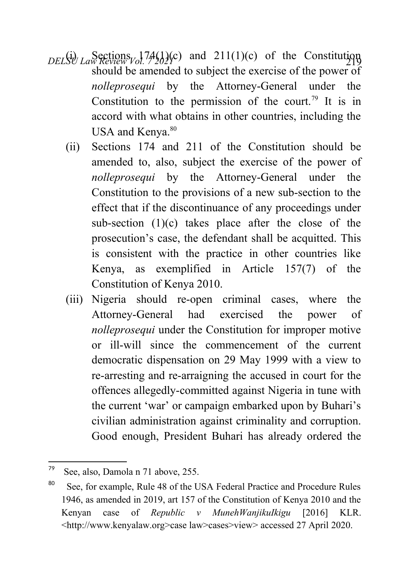- $DEL\left(\frac{1}{2}\right)$   $Law$  *Review Vol.* 7202(c) and 211(1)(c) of the Constitution should be amended to subject the exercise of the power of *nolleprosequi* by the Attorney-General under the Constitution to the permission of the court.<sup>[79](#page-39-0)</sup> It is in accord with what obtains in other countries, including the USA and Kenya.<sup>[80](#page-39-1)</sup>
	- (ii) Sections 174 and 211 of the Constitution should be amended to, also, subject the exercise of the power of *nolleprosequi* by the Attorney-General under the Constitution to the provisions of a new sub-section to the effect that if the discontinuance of any proceedings under sub-section (1)(c) takes place after the close of the prosecution's case, the defendant shall be acquitted. This is consistent with the practice in other countries like Kenya, as exemplified in Article 157(7) of the Constitution of Kenya 2010.
	- (iii) Nigeria should re-open criminal cases, where the Attorney-General had exercised the power of *nolleprosequi* under the Constitution for improper motive or ill-will since the commencement of the current democratic dispensation on 29 May 1999 with a view to re-arresting and re-arraigning the accused in court for the offences allegedly-committed against Nigeria in tune with the current 'war' or campaign embarked upon by Buhari's civilian administration against criminality and corruption. Good enough, President Buhari has already ordered the

<span id="page-39-0"></span><sup>79</sup> See, also, Damola n 71 above, 255.

<span id="page-39-1"></span><sup>&</sup>lt;sup>80</sup> See, for example, Rule 48 of the USA Federal Practice and Procedure Rules 1946, as amended in 2019, art 157 of the Constitution of Kenya 2010 and the Kenyan case of *Republic v MunehWanjikuIkigu* [2016] KLR. <http://www.kenyalaw.org>case law>cases>view> accessed 27 April 2020.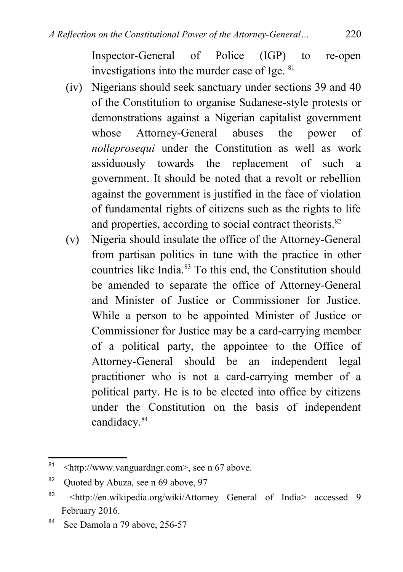Inspector-General of Police (IGP) to re-open investigations into the murder case of Ige. [81](#page-40-0)

- (iv) Nigerians should seek sanctuary under sections 39 and 40 of the Constitution to organise Sudanese-style protests or demonstrations against a Nigerian capitalist government whose Attorney-General abuses the power of *nolleprosequi* under the Constitution as well as work assiduously towards the replacement of such a government. It should be noted that a revolt or rebellion against the government is justified in the face of violation of fundamental rights of citizens such as the rights to life and properties, according to social contract theorists.<sup>[82](#page-40-1)</sup>
- (v) Nigeria should insulate the office of the Attorney-General from partisan politics in tune with the practice in other countries like India.[83](#page-40-2) To this end, the Constitution should be amended to separate the office of Attorney-General and Minister of Justice or Commissioner for Justice. While a person to be appointed Minister of Justice or Commissioner for Justice may be a card-carrying member of a political party, the appointee to the Office of Attorney-General should be an independent legal practitioner who is not a card-carrying member of a political party. He is to be elected into office by citizens under the Constitution on the basis of independent candidacy.<sup>[84](#page-40-3)</sup>

<span id="page-40-0"></span> $81$  <http://www.vanguardngr.com>, see n 67 above.

<span id="page-40-1"></span><sup>&</sup>lt;sup>82</sup> Quoted by Abuza, see n 69 above, 97

<span id="page-40-2"></span><sup>83</sup> <http://en.wikipedia.org/wiki/Attorney General of India> accessed 9 February 2016.

<span id="page-40-3"></span><sup>&</sup>lt;sup>84</sup> See Damola n 79 above, 256-57